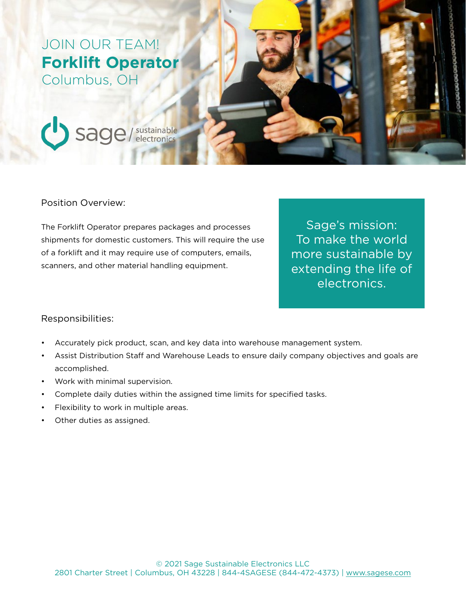## JOIN OUR TEAM! **Forklift Operator** Columbus, OH



#### Position Overview:

The Forklift Operator prepares packages and processes shipments for domestic customers. This will require the use of a forklift and it may require use of computers, emails, scanners, and other material handling equipment.

Sage's mission: To make the world more sustainable by extending the life of electronics.

#### Responsibilities:

- Accurately pick product, scan, and key data into warehouse management system.
- Assist Distribution Staff and Warehouse Leads to ensure daily company objectives and goals are accomplished.
- Work with minimal supervision.
- Complete daily duties within the assigned time limits for specified tasks.
- Flexibility to work in multiple areas.
- Other duties as assigned.